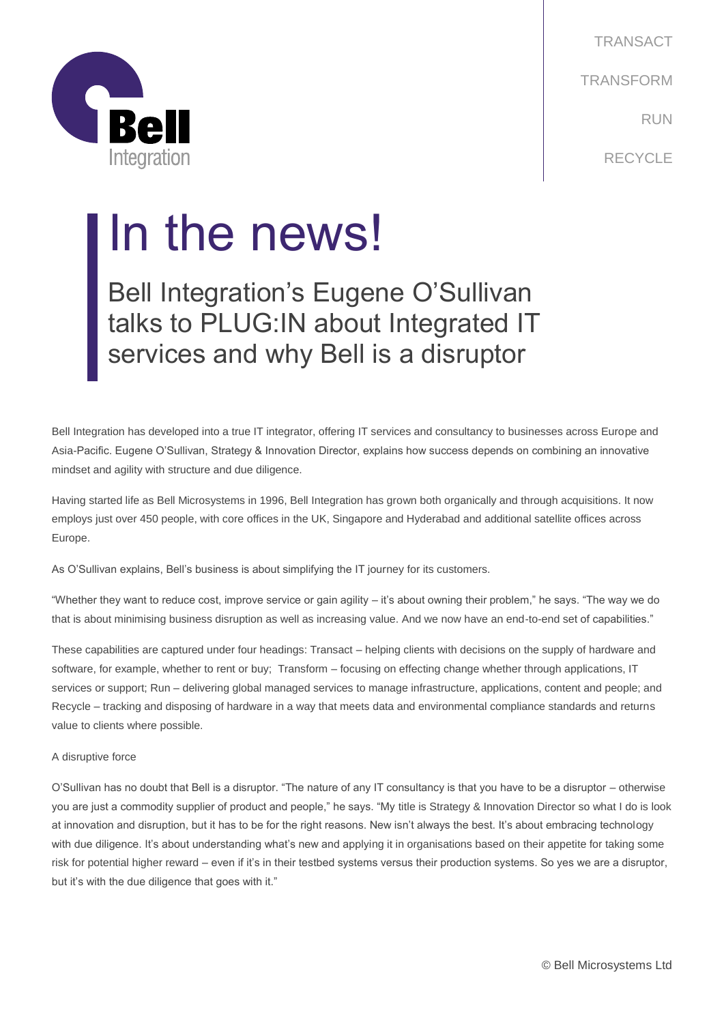

TRANSACT TRANSFORM RUN RECYCLE

# In the news!

Bell Integration's Eugene O'Sullivan talks to PLUG:IN about Integrated IT services and why Bell is a disruptor

Bell Integration has developed into a true IT integrator, offering IT services and consultancy to businesses across Europe and Asia-Pacific. Eugene O'Sullivan, Strategy & Innovation Director, explains how success depends on combining an innovative mindset and agility with structure and due diligence.

Having started life as Bell Microsystems in 1996, Bell Integration has grown both organically and through acquisitions. It now employs just over 450 people, with core offices in the UK, Singapore and Hyderabad and additional satellite offices across Europe.

As O'Sullivan explains, Bell's business is about simplifying the IT journey for its customers.

"Whether they want to reduce cost, improve service or gain agility – it's about owning their problem," he says. "The way we do that is about minimising business disruption as well as increasing value. And we now have an end-to-end set of capabilities."

These capabilities are captured under four headings: Transact – helping clients with decisions on the supply of hardware and software, for example, whether to rent or buy; Transform – focusing on effecting change whether through applications, IT services or support; Run – delivering global managed services to manage infrastructure, applications, content and people; and Recycle – tracking and disposing of hardware in a way that meets data and environmental compliance standards and returns value to clients where possible.

## A disruptive force

O'Sullivan has no doubt that Bell is a disruptor. "The nature of any IT consultancy is that you have to be a disruptor – otherwise you are just a commodity supplier of product and people," he says. "My title is Strategy & Innovation Director so what I do is look at innovation and disruption, but it has to be for the right reasons. New isn't always the best. It's about embracing technology with due diligence. It's about understanding what's new and applying it in organisations based on their appetite for taking some risk for potential higher reward – even if it's in their testbed systems versus their production systems. So yes we are a disruptor, but it's with the due diligence that goes with it."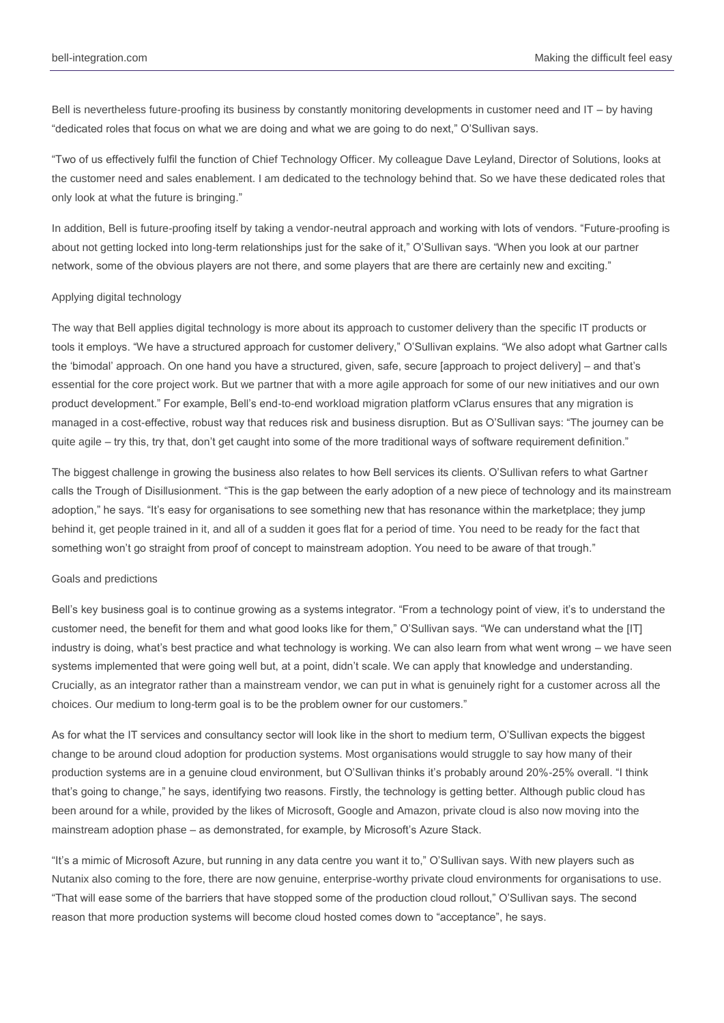Bell is nevertheless future-proofing its business by constantly monitoring developments in customer need and IT – by having "dedicated roles that focus on what we are doing and what we are going to do next," O'Sullivan says.

"Two of us effectively fulfil the function of Chief Technology Officer. My colleague Dave Leyland, Director of Solutions, looks at the customer need and sales enablement. I am dedicated to the technology behind that. So we have these dedicated roles that only look at what the future is bringing."

In addition, Bell is future-proofing itself by taking a vendor-neutral approach and working with lots of vendors. "Future-proofing is about not getting locked into long-term relationships just for the sake of it," O'Sullivan says. "When you look at our partner network, some of the obvious players are not there, and some players that are there are certainly new and exciting."

#### Applying digital technology

The way that Bell applies digital technology is more about its approach to customer delivery than the specific IT products or tools it employs. "We have a structured approach for customer delivery," O'Sullivan explains. "We also adopt what Gartner calls the 'bimodal' approach. On one hand you have a structured, given, safe, secure [approach to project delivery] – and that's essential for the core project work. But we partner that with a more agile approach for some of our new initiatives and our own product development." For example, Bell's end-to-end workload migration platform vClarus ensures that any migration is managed in a cost-effective, robust way that reduces risk and business disruption. But as O'Sullivan says: "The journey can be quite agile – try this, try that, don't get caught into some of the more traditional ways of software requirement definition."

The biggest challenge in growing the business also relates to how Bell services its clients. O'Sullivan refers to what Gartner calls the Trough of Disillusionment. "This is the gap between the early adoption of a new piece of technology and its mainstream adoption," he says. "It's easy for organisations to see something new that has resonance within the marketplace; they jump behind it, get people trained in it, and all of a sudden it goes flat for a period of time. You need to be ready for the fact that something won't go straight from proof of concept to mainstream adoption. You need to be aware of that trough."

#### Goals and predictions

Bell's key business goal is to continue growing as a systems integrator. "From a technology point of view, it's to understand the customer need, the benefit for them and what good looks like for them," O'Sullivan says. "We can understand what the [IT] industry is doing, what's best practice and what technology is working. We can also learn from what went wrong – we have seen systems implemented that were going well but, at a point, didn't scale. We can apply that knowledge and understanding. Crucially, as an integrator rather than a mainstream vendor, we can put in what is genuinely right for a customer across all the choices. Our medium to long-term goal is to be the problem owner for our customers."

As for what the IT services and consultancy sector will look like in the short to medium term, O'Sullivan expects the biggest change to be around cloud adoption for production systems. Most organisations would struggle to say how many of their production systems are in a genuine cloud environment, but O'Sullivan thinks it's probably around 20%-25% overall. "I think that's going to change," he says, identifying two reasons. Firstly, the technology is getting better. Although public cloud has been around for a while, provided by the likes of Microsoft, Google and Amazon, private cloud is also now moving into the mainstream adoption phase – as demonstrated, for example, by Microsoft's Azure Stack.

"It's a mimic of Microsoft Azure, but running in any data centre you want it to," O'Sullivan says. With new players such as Nutanix also coming to the fore, there are now genuine, enterprise-worthy private cloud environments for organisations to use. "That will ease some of the barriers that have stopped some of the production cloud rollout," O'Sullivan says. The second reason that more production systems will become cloud hosted comes down to "acceptance", he says.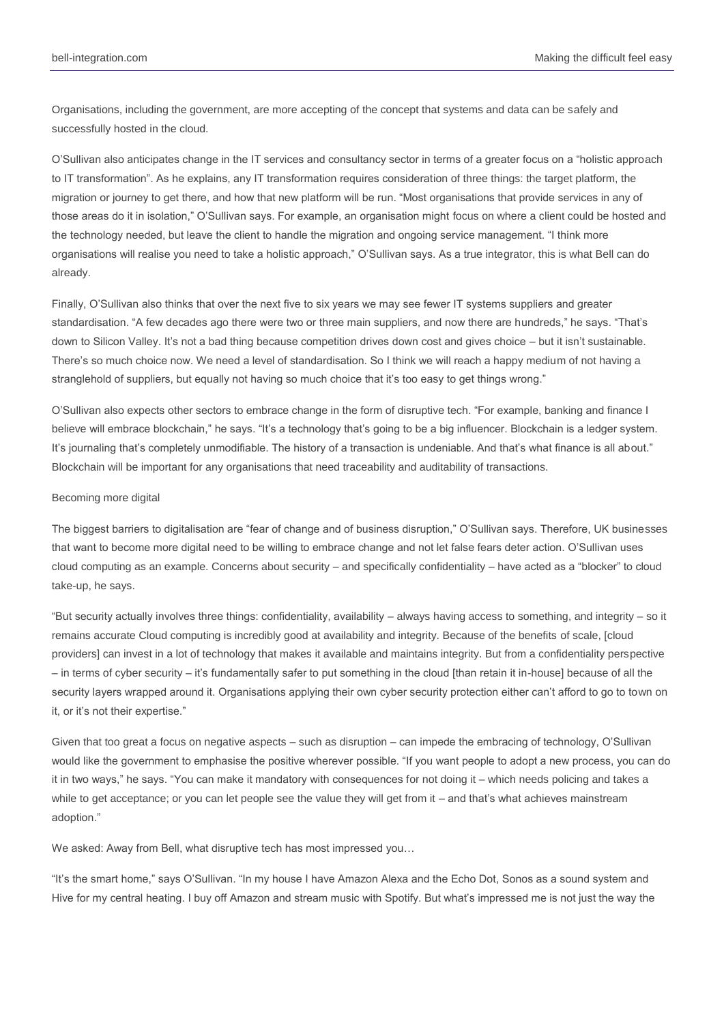Organisations, including the government, are more accepting of the concept that systems and data can be safely and successfully hosted in the cloud.

O'Sullivan also anticipates change in the IT services and consultancy sector in terms of a greater focus on a "holistic approach to IT transformation". As he explains, any IT transformation requires consideration of three things: the target platform, the migration or journey to get there, and how that new platform will be run. "Most organisations that provide services in any of those areas do it in isolation," O'Sullivan says. For example, an organisation might focus on where a client could be hosted and the technology needed, but leave the client to handle the migration and ongoing service management. "I think more organisations will realise you need to take a holistic approach," O'Sullivan says. As a true integrator, this is what Bell can do already.

Finally, O'Sullivan also thinks that over the next five to six years we may see fewer IT systems suppliers and greater standardisation. "A few decades ago there were two or three main suppliers, and now there are hundreds," he says. "That's down to Silicon Valley. It's not a bad thing because competition drives down cost and gives choice – but it isn't sustainable. There's so much choice now. We need a level of standardisation. So I think we will reach a happy medium of not having a stranglehold of suppliers, but equally not having so much choice that it's too easy to get things wrong."

O'Sullivan also expects other sectors to embrace change in the form of disruptive tech. "For example, banking and finance I believe will embrace blockchain," he says. "It's a technology that's going to be a big influencer. Blockchain is a ledger system. It's journaling that's completely unmodifiable. The history of a transaction is undeniable. And that's what finance is all about." Blockchain will be important for any organisations that need traceability and auditability of transactions.

### Becoming more digital

The biggest barriers to digitalisation are "fear of change and of business disruption," O'Sullivan says. Therefore, UK businesses that want to become more digital need to be willing to embrace change and not let false fears deter action. O'Sullivan uses cloud computing as an example. Concerns about security – and specifically confidentiality – have acted as a "blocker" to cloud take-up, he says.

"But security actually involves three things: confidentiality, availability – always having access to something, and integrity – so it remains accurate Cloud computing is incredibly good at availability and integrity. Because of the benefits of scale, [cloud providers] can invest in a lot of technology that makes it available and maintains integrity. But from a confidentiality perspective – in terms of cyber security – it's fundamentally safer to put something in the cloud [than retain it in-house] because of all the security layers wrapped around it. Organisations applying their own cyber security protection either can't afford to go to town on it, or it's not their expertise."

Given that too great a focus on negative aspects – such as disruption – can impede the embracing of technology, O'Sullivan would like the government to emphasise the positive wherever possible. "If you want people to adopt a new process, you can do it in two ways," he says. "You can make it mandatory with consequences for not doing it – which needs policing and takes a while to get acceptance; or you can let people see the value they will get from it – and that's what achieves mainstream adoption."

We asked: Away from Bell, what disruptive tech has most impressed you…

"It's the smart home," says O'Sullivan. "In my house I have Amazon Alexa and the Echo Dot, Sonos as a sound system and Hive for my central heating. I buy off Amazon and stream music with Spotify. But what's impressed me is not just the way the